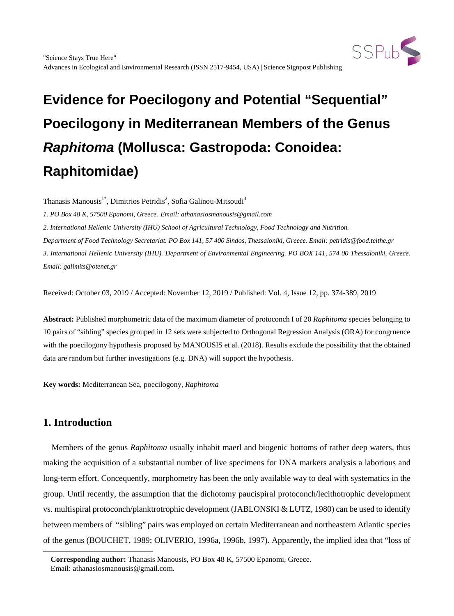

Thanasis Manousis<sup>1\*</sup>, Dimitrios Petridis<sup>2</sup>, Sofia Galinou-Mitsoudi<sup>3</sup>

*1. PO Box 48 K, 57500 Epanomi, Greece. Email: athanasiosmanousis@gmail.com*

*2. International Hellenic University (IHU) School of Agricultural Technology, Food Technology and Nutrition.*

*Department of Food Technology Secretariat. PO Box 141, 57 400 Sindos, Thessaloniki, Greece. Email: petridis@food.teithe.gr*

*3. International Hellenic University (IHU). Department of Environmental Engineering. PO BOX 141, 574 00 Thessaloniki, Greece. Email: galimits@otenet.gr*

Received: October 03, 2019 / Accepted: November 12, 2019 / Published: Vol. 4, Issue 12, pp. 374-389, 2019

**Abstract:** Published morphometric data of the maximum diameter of protoconch I of 20 *Raphitoma* species belonging to 10 pairs of "sibling" species grouped in 12 sets were subjected to Orthogonal Regression Analysis (ORA) for congruence with the poecilogony hypothesis proposed by MANOUSIS et al. (2018). Results exclude the possibility that the obtained data are random but further investigations (e.g. DNA) will support the hypothesis.

**Key words:** Mediterranean Sea, poecilogony, *Raphitoma*

# **1. Introduction**

<span id="page-0-0"></span>1

Members of the genus *Raphitoma* usually inhabit maerl and biogenic bottoms of rather deep waters, thus making the acquisition of a substantial number of live specimens for DNA markers analysis a laborious and long-term effort. Concequently, morphometry has been the only available way to deal with systematics in the group. Until recently, the assumption that the dichotomy paucispiral protoconch/lecithotrophic development vs. multispiral protoconch/planktrotrophic development (JABLONSKI & LUTZ, 1980) can be used to identify between members of "sibling" pairs was employed on certain Mediterranean and northeastern Atlantic species of the genus (BOUCHET, 1989; OLIVERIO, 1996a, 1996b, 1997). Apparently, the implied idea that "loss of

**Corresponding author:** Thanasis Manousis, PO Box 48 K, 57500 Epanomi, Greece. Email: athanasiosmanousis@gmail.com.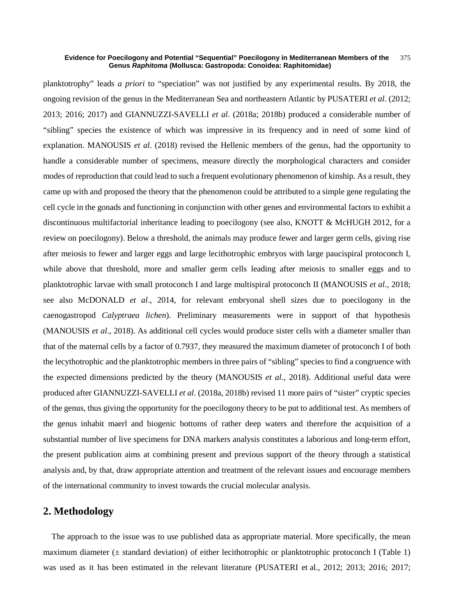planktotrophy" leads *a priori* to "speciation" was not justified by any experimental results. By 2018, the ongoing revision of the genus in the Mediterranean Sea and northeastern Atlantic by PUSATERI *et al*. (2012; 2013; 2016; 2017) and GIANNUZZI-SAVELLI *et al*. (2018a; 2018b) produced a considerable number of "sibling" species the existence of which was impressive in its frequency and in need of some kind of explanation. MANOUSIS *et al*. (2018) revised the Hellenic members of the genus, had the opportunity to handle a considerable number of specimens, measure directly the morphological characters and consider modes of reproduction that could lead to such a frequent evolutionary phenomenon of kinship. As a result, they came up with and proposed the theory that the phenomenon could be attributed to a simple gene regulating the cell cycle in the gonads and functioning in conjunction with other genes and environmental factors to exhibit a discontinuous multifactorial inheritance leading to poecilogony (see also, KNOTT & McHUGH 2012, for a review on poecilogony). Below a threshold, the animals may produce fewer and larger germ cells, giving rise after meiosis to fewer and larger eggs and large lecithotrophic embryos with large paucispiral protoconch I, while above that threshold, more and smaller germ cells leading after meiosis to smaller eggs and to planktotrophic larvae with small protoconch I and large multispiral protoconch II (MANOUSIS *et al*., 2018; see also McDONALD *et al*., 2014, for relevant embryonal shell sizes due to poecilogony in the caenogastropod *Calyptraea lichen*). Preliminary measurements were in support of that hypothesis (MANOUSIS *et al*., 2018). As additional cell cycles would produce sister cells with a diameter smaller than that of the maternal cells by a factor of 0.7937, they measured the maximum diameter of protoconch I of both the lecythotrophic and the planktotrophic members in three pairs of "sibling" species to find a congruence with the expected dimensions predicted by the theory (MANOUSIS *et al*., 2018). Additional useful data were produced after GIANNUZZI-SAVELLI *et al*. (2018a, 2018b) revised 11 more pairs of "sister" cryptic species of the genus, thus giving the opportunity for the poecilogony theory to be put to additional test. As members of the genus inhabit maerl and biogenic bottoms of rather deep waters and therefore the acquisition of a substantial number of live specimens for DNA markers analysis constitutes a laborious and long-term effort, the present publication aims at combining present and previous support of the theory through a statistical analysis and, by that, draw appropriate attention and treatment of the relevant issues and encourage members of the international community to invest towards the crucial molecular analysis.

# **2. Methodology**

The approach to the issue was to use published data as appropriate material. More specifically, the mean maximum diameter ( $\pm$  standard deviation) of either lecithotrophic or planktotrophic protoconch I (Table 1) was used as it has been estimated in the relevant literature (PUSATERI et al., 2012; 2013; 2016; 2017;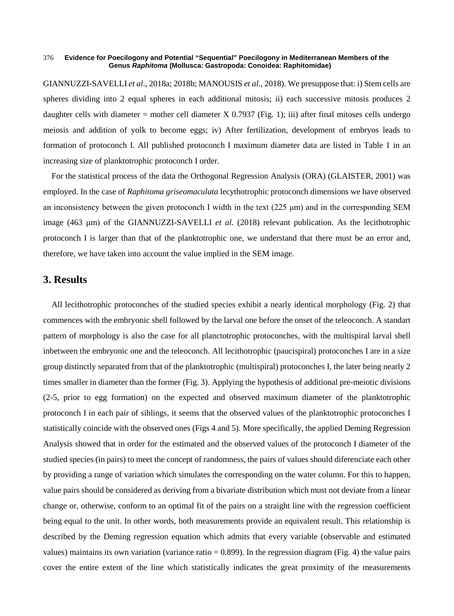GIANNUZZI-SAVELLI *et al*., 2018a; 2018b; MANOUSIS *et al*., 2018). We presuppose that: i) Stem cells are spheres dividing into 2 equal spheres in each additional mitosis; ii) each successive mitosis produces 2 daughter cells with diameter = mother cell diameter X  $0.7937$  (Fig. 1); iii) after final mitoses cells undergo meiosis and addition of yolk to become eggs; iv) After fertilization, development of embryos leads to formation of protoconch I. All published protoconch I maximum diameter data are listed in Table 1 in an increasing size of planktotrophic protoconch I order.

For the statistical process of the data the Orthogonal Regression Analysis (ORA) (GLAISTER, 2001) was employed. In the case of *Raphitoma griseomaculata* lecythotrophic protoconch dimensions we have observed an inconsistency between the given protoconch I width in the text  $(225 \mu m)$  and in the corresponding SEM image (463 μm) of the GIANNUZZI-SAVELLI *et al*. (2018) relevant publication. As the lecithotrophic protoconch I is larger than that of the planktotrophic one, we understand that there must be an error and, therefore, we have taken into account the value implied in the SEM image.

# **3. Results**

All lecithotrophic protoconches of the studied species exhibit a nearly identical morphology (Fig. 2) that commences with the embryonic shell followed by the larval one before the onset of the teleoconch. A standart pattern of morphology is also the case for all planctotrophic protoconches, with the multispiral larval shell inbetween the embryonic one and the teleoconch. All lecithotrophic (paucispiral) protoconches I are in a size group distinctly separated from that of the planktotrophic (multispiral) protoconches I, the later being nearly 2 times smaller in diameter than the former (Fig. 3). Applying the hypothesis of additional pre-meiotic divisions (2-5, prior to egg formation) on the expected and observed maximum diameter of the planktotrophic protoconch I in each pair of siblings, it seems that the observed values of the planktotrophic protoconches I statistically coincide with the observed ones (Figs 4 and 5). More specifically, the applied Deming Regression Analysis showed that in order for the estimated and the observed values of the protoconch I diameter of the studied species (in pairs) to meet the concept of randomness, the pairs of values should diferenciate each other by providing a range of variation which simulates the corresponding on the water column. For this to happen, value pairs should be considered as deriving from a bivariate distribution which must not deviate from a linear change or, otherwise, conform to an optimal fit of the pairs on a straight line with the regression coefficient being equal to the unit. In other words, both measurements provide an equivalent result. This relationship is described by the Deming regression equation which admits that every variable (observable and estimated values) maintains its own variation (variance ratio  $= 0.899$ ). In the regression diagram (Fig. 4) the value pairs cover the entire extent of the line which statistically indicates the great proximity of the measurements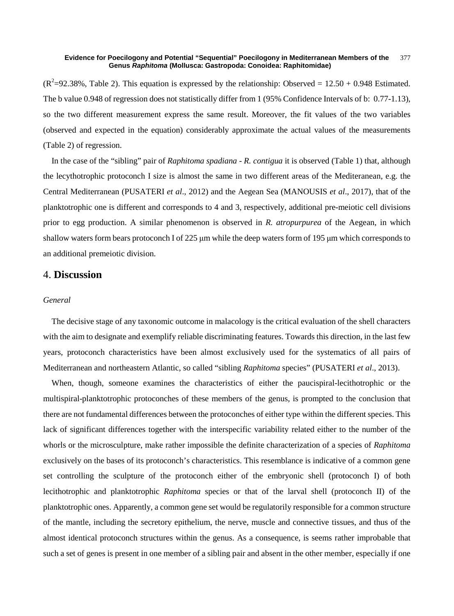$(R^2=92.38\%$ , Table 2). This equation is expressed by the relationship: Observed = 12.50 + 0.948 Estimated. The b value 0.948 of regression does not statistically differ from 1 (95% Confidence Intervals of b: 0.77-1.13), so the two different measurement express the same result. Moreover, the fit values of the two variables (observed and expected in the equation) considerably approximate the actual values of the measurements (Table 2) of regression.

In the case of the "sibling" pair of *Raphitoma spadiana* - *R. contigua* it is observed (Table 1) that, although the lecythotrophic protoconch I size is almost the same in two different areas of the Mediteranean, e.g. the Central Mediterranean (PUSATERI *et al*., 2012) and the Aegean Sea (MANOUSIS *et al*., 2017), that of the planktotrophic one is different and corresponds to 4 and 3, respectively, additional pre-meiotic cell divisions prior to egg production. A similar phenomenon is observed in *R. atropurpurea* of the Aegean, in which shallow waters form bears protoconch I of 225 μm while the deep waters form of 195 μm which corresponds to an additional premeiotic division.

# 4. **Discussion**

### *General*

The decisive stage of any taxonomic outcome in malacology is the critical evaluation of the shell characters with the aim to designate and exemplify reliable discriminating features. Towards this direction, in the last few years, protoconch characteristics have been almost exclusively used for the systematics of all pairs of Mediterranean and northeastern Atlantic, so called "sibling *Raphitoma* species" (PUSATERI *et al*., 2013).

When, though, someone examines the characteristics of either the paucispiral-lecithotrophic or the multispiral-planktotrophic protoconches of these members of the genus, is prompted to the conclusion that there are not fundamental differences between the protoconches of either type within the different species. This lack of significant differences together with the interspecific variability related either to the number of the whorls or the microsculpture, make rather impossible the definite characterization of a species of *Raphitoma* exclusively on the bases of its protoconch's characteristics. This resemblance is indicative of a common gene set controlling the sculpture of the protoconch either of the embryonic shell (protoconch I) of both lecithotrophic and planktotrophic *Raphitoma* species or that of the larval shell (protoconch II) of the planktotrophic ones. Apparently, a common gene set would be regulatorily responsible for a common structure of the mantle, including the secretory epithelium, the nerve, muscle and connective tissues, and thus of the almost identical protoconch structures within the genus. As a consequence, is seems rather improbable that such a set of genes is present in one member of a sibling pair and absent in the other member, especially if one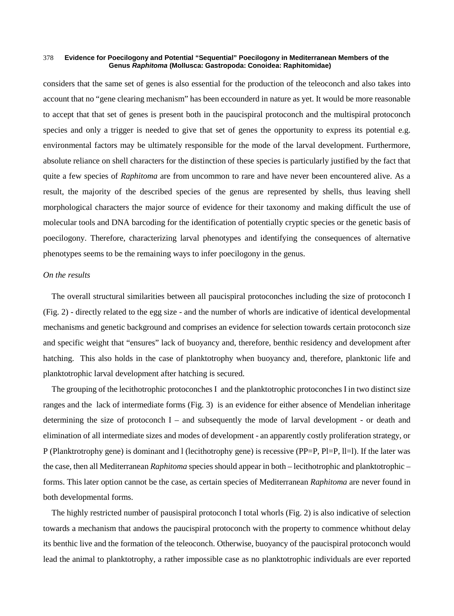considers that the same set of genes is also essential for the production of the teleoconch and also takes into account that no "gene clearing mechanism" has been eccounderd in nature as yet. It would be more reasonable to accept that that set of genes is present both in the paucispiral protoconch and the multispiral protoconch species and only a trigger is needed to give that set of genes the opportunity to express its potential e.g. environmental factors may be ultimately responsible for the mode of the larval development. Furthermore, absolute reliance on shell characters for the distinction of these species is particularly justified by the fact that quite a few species of *Raphitoma* are from uncommon to rare and have never been encountered alive. As a result, the majority of the described species of the genus are represented by shells, thus leaving shell morphological characters the major source of evidence for their taxonomy and making difficult the use of molecular tools and DNA barcoding for the identification of potentially cryptic species or the genetic basis of poecilogony. Therefore, characterizing larval phenotypes and identifying the consequences of alternative phenotypes seems to be the remaining ways to infer poecilogony in the genus.

### *On the results*

The overall structural similarities between all paucispiral protoconches including the size of protoconch I (Fig. 2) - directly related to the egg size - and the number of whorls are indicative of identical developmental mechanisms and genetic background and comprises an evidence for selection towards certain protoconch size and specific weight that "ensures" lack of buoyancy and, therefore, benthic residency and development after hatching. This also holds in the case of planktotrophy when buoyancy and, therefore, planktonic life and planktotrophic larval development after hatching is secured.

Τhe grouping of the lecithotrophic protoconches I and the planktotrophic protoconches I in two distinct size ranges and the lack of intermediate forms (Fig. 3) is an evidence for either absence of Mendelian inheritage determining the size of protoconch I – and subsequently the mode of larval development - or death and elimination of all intermediate sizes and modes of development - an apparently costly proliferation strategy, or P (Planktrotrophy gene) is dominant and l (lecithotrophy gene) is recessive (PP=P, Pl=P, ll=l). If the later was the case, then all Mediterranean *Raphitoma* species should appear in both – lecithotrophic and planktotrophic – forms. This later option cannot be the case, as certain species of Mediterranean *Raphitoma* are never found in both developmental forms.

The highly restricted number of pausispiral protoconch I total whorls (Fig. 2) is also indicative of selection towards a mechanism that andows the paucispiral protoconch with the property to commence whithout delay its benthic live and the formation of the teleoconch. Otherwise, buoyancy of the paucispiral protoconch would lead the animal to planktotrophy, a rather impossible case as no planktotrophic individuals are ever reported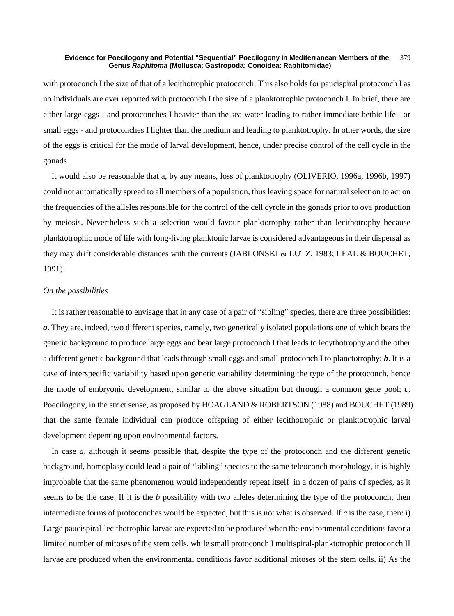with protoconch I the size of that of a lecithotrophic protoconch. This also holds for paucispiral protoconch I as no individuals are ever reported with protoconch I the size of a planktotrophic protoconch I. In brief, there are either large eggs - and protoconches I heavier than the sea water leading to rather immediate bethic life - or small eggs - and protoconches I lighter than the medium and leading to planktotrophy. In other words, the size of the eggs is critical for the mode of larval development, hence, under precise control of the cell cycle in the gonads.

It would also be reasonable that a, by any means, loss of planktotrophy (OLIVERIO, 1996a, 1996b, 1997) could not automatically spread to all members of a population, thus leaving space for natural selection to act on the frequencies of the alleles responsible for the control of the cell cyrcle in the gonads prior to ova production by meiosis. Nevertheless such a selection would favour planktotrophy rather than lecithotrophy because planktotrophic mode of life with long-living planktonic larvae is considered advantageous in their dispersal as they may drift considerable distances with the currents (JABLONSKI & LUTZ, 1983; LEAL & BOUCHET, 1991).

### *On the possibilities*

It is rather reasonable to envisage that in any case of a pair of "sibling" species, there are three possibilities: *a*. They are, indeed, two different species, namely, two genetically isolated populations one of which bears the genetic background to produce large eggs and bear large protoconch I that leads to lecythotrophy and the other a different genetic background that leads through small eggs and small protoconch I to planctotrophy; *b*. It is a case of interspecific variability based upon genetic variability determining the type of the protoconch, hence the mode of embryonic development, similar to the above situation but through a common gene pool; *c*. Poecilogony, in the strict sense, as proposed by HOAGLAND & ROBERTSON (1988) and BOUCHET (1989) that the same female individual can produce offspring of either lecithotrophic or planktotrophic larval development depenting upon environmental factors.

In case *a*, although it seems possible that, despite the type of the protoconch and the different genetic background, homoplasy could lead a pair of "sibling" species to the same teleoconch morphology, it is highly improbable that the same phenomenon would independently repeat itself in a dozen of pairs of species, as it seems to be the case. If it is the *b* possibility with two alleles determining the type of the protoconch, then intermediate forms of protoconches would be expected, but this is not what is observed. If *c* is the case, then: i) Large paucispiral-lecithotrophic larvae are expected to be produced when the environmental conditions favor a limited number of mitoses of the stem cells, while small protoconch I multispiral-planktotrophic protoconch II larvae are produced when the environmental conditions favor additional mitoses of the stem cells, ii) As the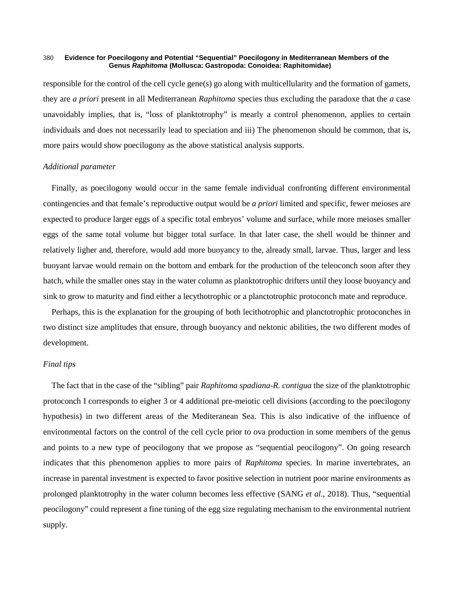responsible for the control of the cell cycle gene(s) go along with multicellularity and the formation of gamets, they are *a priori* present in all Mediterranean *Raphitoma* species thus excluding the paradoxe that the *a* case unavoidably implies, that is, "loss of planktotrophy" is mearly a control phenomenon, applies to certain individuals and does not necessarily lead to speciation and iii) The phenomenon should be common, that is, more pairs would show poecilogony as the above statistical analysis supports.

### *Additional parameter*

Finally, as poecilogony would occur in the same female individual confronting different environmental contingencies and that female's reproductive output would be *a priori* limited and specific, fewer meioses are expected to produce larger eggs of a specific total embryos' volume and surface, while more meioses smaller eggs of the same total volume but bigger total surface. In that later case, the shell would be thinner and relatively ligher and, therefore, would add more buoyancy to the, already small, larvae. Thus, larger and less buoyant larvae would remain on the bottom and embark for the production of the teleoconch soon after they hatch, while the smaller ones stay in the water column as planktotrophic drifters until they loose buoyancy and sink to grow to maturity and find either a lecythotrophic or a planctotrophic protoconch mate and reproduce.

Perhaps, this is the explanation for the grouping of both lecithotrophic and planctotrophic protoconches in two distinct size amplitudes that ensure, through buoyancy and nektonic abilities, the two different modes of development.

### *Final tips*

The fact that in the case of the "sibling" pair *Raphitoma spadiana*-*R. contigua* the size of the planktotrophic protoconch I corresponds to eigher 3 or 4 additional pre-meiotic cell divisions (according to the poecilogony hypothesis) in two different areas of the Mediteranean Sea. This is also indicative of the influence of environmental factors on the control of the cell cycle prior to ova production in some members of the genus and points to a new type of peocilogony that we propose as "sequential peocilogony". On going research indicates that this phenomenon applies to more pairs of *Raphitoma* species. In marine invertebrates, an increase in parental investment is expected to favor positive selection in nutrient poor marine environments as prolonged planktotrophy in the water column becomes less effective (SANG *et al*., 2018). Thus, "sequential peocilogony" could represent a fine tuning of the egg size regulating mechanism to the environmental nutrient supply.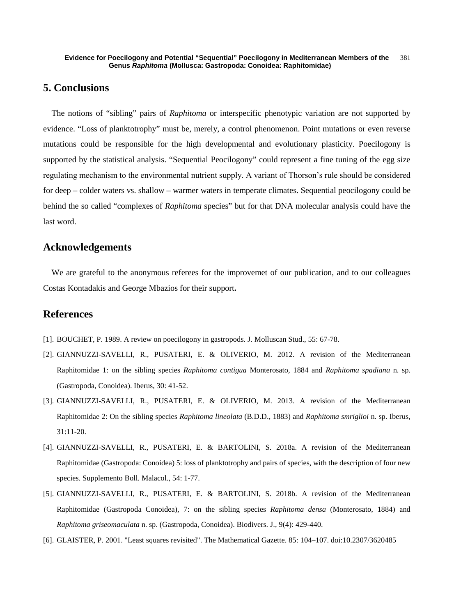# **5. Conclusions**

The notions of "sibling" pairs of *Raphitoma* or interspecific phenotypic variation are not supported by evidence. "Loss of planktotrophy" must be, merely, a control phenomenon. Point mutations or even reverse mutations could be responsible for the high developmental and evolutionary plasticity. Poecilogony is supported by the statistical analysis. "Sequential Peocilogony" could represent a fine tuning of the egg size regulating mechanism to the environmental nutrient supply. A variant of Τhorson's rule should be considered for deep – colder waters vs. shallow – warmer waters in temperate climates. Sequential peocilogony could be behind the so called "complexes of *Raphitoma* species" but for that DNA molecular analysis could have the last word.

# **Acknowledgements**

We are grateful to the anonymous referees for the improvemet of our publication, and to our colleagues Costas Kontadakis and George Mbazios for their support**.**

# **References**

- [1]. BOUCHET, P. 1989. A review on poecilogony in gastropods. J. Molluscan Stud., 55: 67-78.
- [2]. GIANNUZZI-SAVELLI, R., PUSATERI, E. & OLIVERIO, M. 2012. A revision of the Mediterranean Raphitomidae 1: on the sibling species *Raphitoma contigua* Monterosato, 1884 and *Raphitoma spadiana* n. sp. (Gastropoda, Conoidea). Iberus, 30: 41-52.
- [3]. GIANNUZZI-SAVELLI, R., PUSATERI, E. & OLIVERIO, M. 2013. A revision of the Mediterranean Raphitomidae 2: On the sibling species *Raphitoma lineolata* (B.D.D., 1883) and *Raphitoma smriglioi* n. sp. Iberus, 31:11-20.
- [4]. GIANNUZZI-SAVELLI, R., PUSATERI, E. & BARTOLINI, S. 2018a. A revision of the Mediterranean Raphitomidae (Gastropoda: Conoidea) 5: loss of planktotrophy and pairs of species, with the description of four new species. Supplemento Boll. Malacol., 54: 1-77.
- [5]. GIANNUZZI-SAVELLI, R., PUSATERI, E. & BARTOLINI, S. 2018b. A revision of the Mediterranean Raphitomidae (Gastropoda Conoidea), 7: on the sibling species *Raphitoma densa* (Monterosato, 1884) and *Raphitoma griseomaculata* n. sp. (Gastropoda, Conoidea). Biodivers. J., 9(4): 429-440.
- [6]. GLAISTER, P. 2001. "Least squares revisited". The Mathematical Gazette. 85: 104–107. doi:10.2307/3620485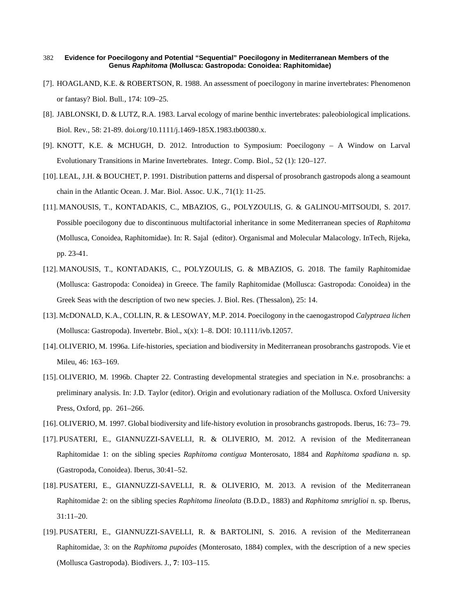- [7]. HOAGLAND, K.E. & ROBERTSON, R. 1988. An assessment of poecilogony in marine invertebrates: Phenomenon or fantasy? Biol. Bull*.*, 174: 109–25.
- [8]. JABLONSKI, D. & LUTZ, R.A. 1983. Larval ecology of marine benthic invertebrates: paleobiological implications. Biol. Rev*.*, 58: 21-89. doi.org/10.1111/j.1469-185X.1983.tb00380.x.
- [9]. KNOTT, K.E. & MCHUGH, D. 2012. Introduction to Symposium: Poecilogony A Window on Larval Evolutionary Transitions in Marine Invertebrates. Integr. Comp. Biol., 52 (1): 120–127.
- [10]. LEAL, J.H. & BOUCHET, P. 1991. Distribution patterns and dispersal of prosobranch gastropods along a seamount chain in the Atlantic Ocean. J. Mar. Biol. Assoc. U.K*.,* 71(1): 11-25.
- [11]. MANOUSIS, T., KONTADAKIS, C., MBAZIOS, G., POLYZOULIS, G. & GALINOU-MITSOUDI, S. 2017. Possible poecilogony due to discontinuous multifactorial inheritance in some Mediterranean species of *Raphitoma* (Mollusca, Conoidea, Raphitomidae). In: R. Sajal (editor). Organismal and Molecular Malacology. InTech, Rijeka, pp. 23-41.
- [12]. MANOUSIS, T., KONTADAKIS, C., POLYZOULIS, G. & MBAZIOS, G. 2018. The family Raphitomidae (Mollusca: Gastropoda: Conoidea) in Greece. The family Raphitomidae (Mollusca: Gastropoda: Conoidea) in the Greek Seas with the description of two new species. J. Biol. Res. (Thessalon)*,* 25: 14.
- [13]. McDONALD, K.A., COLLIN, R. & LESOWAY, M.P. 2014. Poecilogony in the caenogastropod *Calyptraea lichen* (Mollusca: Gastropoda). Invertebr. Biol., x(x): 1–8. DOI: 10.1111/ivb.12057.
- [14]. OLIVERIO, M. 1996a. Life-histories, speciation and biodiversity in Mediterranean prosobranchs gastropods. Vie et Mileu, 46: 163–169.
- [15]. OLIVERIO, M. 1996b. Chapter 22. Contrasting developmental strategies and speciation in N.e. prosobranchs: a preliminary analysis. In: J.D. Taylor (editor). Origin and evolutionary radiation of the Mollusca. Oxford University Press, Oxford, pp. 261–266.
- [16]. OLIVERIO, M. 1997. Global biodiversity and life-history evolution in prosobranchs gastropods. Iberus, 16: 73– 79.
- [17]. PUSATERI, E., GIANNUZZI-SAVELLI, R. & OLIVERIO, M. 2012. A revision of the Mediterranean Raphitomidae 1: on the sibling species *Raphitoma contigua* Monterosato, 1884 and *Raphitoma spadiana* n. sp. (Gastropoda, Conoidea). Iberus, 30:41–52.
- [18]. PUSATERI, E., GIANNUZZI-SAVELLI, R. & OLIVERIO, M. 2013. A revision of the Mediterranean Raphitomidae 2: on the sibling species *Raphitoma lineolata* (B.D.D., 1883) and *Raphitoma smriglioi* n. sp. Iberus, 31:11–20.
- [19]. PUSATERI, E., GIANNUZZI-SAVELLI, R. & BARTOLINI, S. 2016. A revision of the Mediterranean Raphitomidae, 3: on the *Raphitoma pupoides* (Monterosato, 1884) complex, with the description of a new species (Mollusca Gastropoda). Biodivers. J*.*, **7**: 103–115.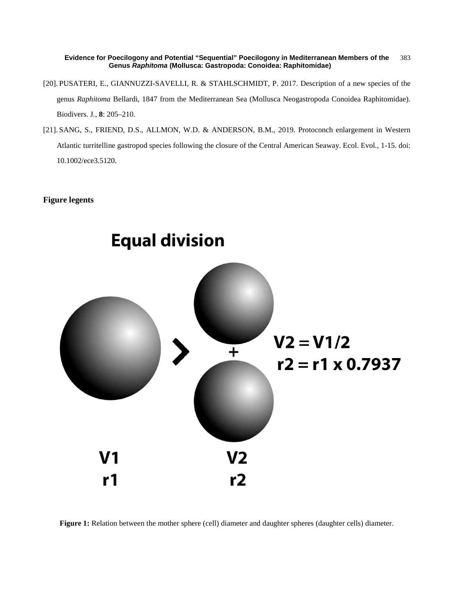- [20]. PUSATERI, E., GIANNUZZI-SAVELLI, R. & STAHLSCHMIDT, P. 2017. Description of a new species of the genus *Raphitoma* Bellardi, 1847 from the Mediterranean Sea (Mollusca Neogastropoda Conoidea Raphitomidae). Biodivers. J*.*, **8**: 205–210.
- [21]. SANG, S., FRIEND, D.S., ALLMON, W.D. & ANDERSON, B.M., 2019. Protoconch enlargement in Western Atlantic turritelline gastropod species following the closure of the Central American Seaway. Ecol. Evol*.*, 1-15. doi: 10.1002/ece3.5120.

### **Figure legents**



**Figure 1:** Relation between the mother sphere (cell) diameter and daughter spheres (daughter cells) diameter.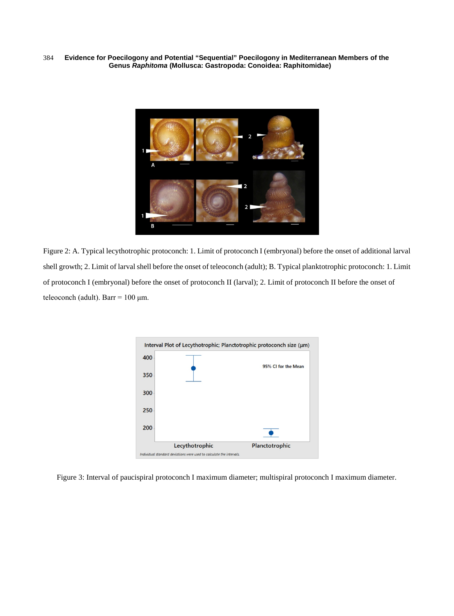

Figure 2: A. Typical lecythotrophic protoconch: 1. Limit of protoconch I (embryonal) before the onset of additional larval shell growth; 2. Limit of larval shell before the onset of teleoconch (adult); B. Typical planktotrophic protoconch: 1. Limit of protoconch I (embryonal) before the onset of protoconch II (larval); 2. Limit of protoconch II before the onset of teleoconch (adult). Barr =  $100 \mu m$ .



Figure 3: Interval of paucispiral protoconch I maximum diameter; multispiral protoconch I maximum diameter.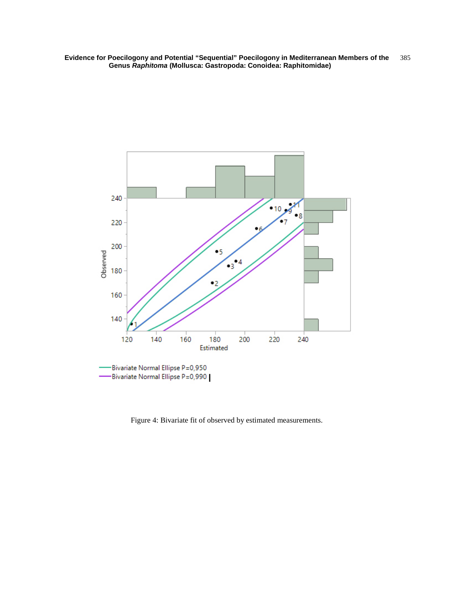

Figure 4: Bivariate fit of observed by estimated measurements.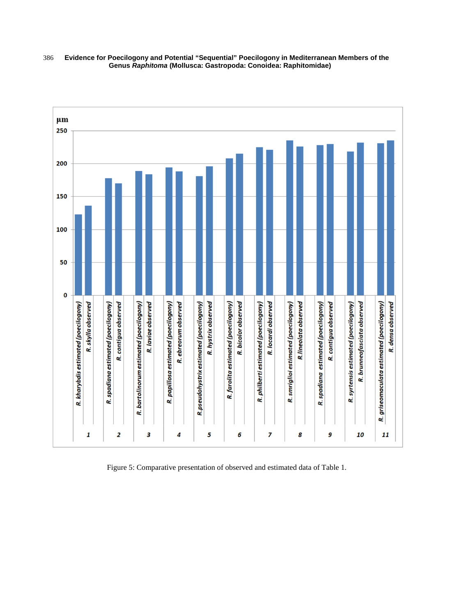

Figure 5: Comparative presentation of observed and estimated data of Table 1.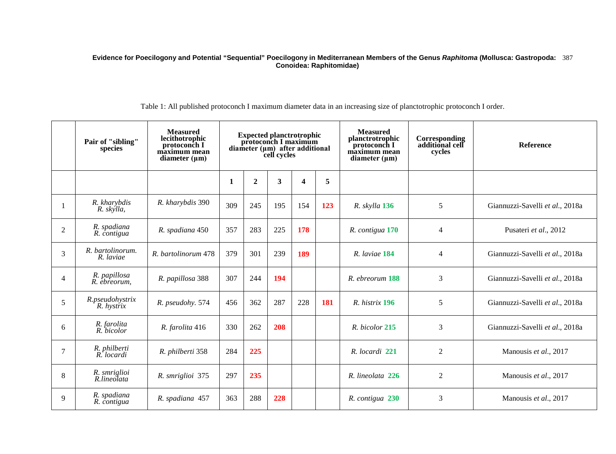Table 1: All published protoconch I maximum diameter data in an increasing size of planctotrophic protoconch I order.

|                | Pair of "sibling"<br>species  | <b>Measured</b><br>lecithotrophic<br>protoconch I<br>maximum mean<br>diameter $(\mu m)$ | <b>Expected planctrotrophic<br/>protoconch I maximum</b><br>$\frac{diameter \, (\mu m)}{cell \, cycles}$ |                  |     |                         | <b>Measured</b><br>planctrotrophic<br>protoconch I<br>maximum mean<br>diameter $(\mu m)$ | Corresponding<br>additional cell<br>cycles | Reference      |                                 |
|----------------|-------------------------------|-----------------------------------------------------------------------------------------|----------------------------------------------------------------------------------------------------------|------------------|-----|-------------------------|------------------------------------------------------------------------------------------|--------------------------------------------|----------------|---------------------------------|
|                |                               |                                                                                         | 1                                                                                                        | $\boldsymbol{2}$ | 3   | $\overline{\mathbf{4}}$ | 5                                                                                        |                                            |                |                                 |
|                | R. kharybdis<br>R. skýlla,    | R. kharybdis 390                                                                        | 309                                                                                                      | 245              | 195 | 154                     | 123                                                                                      | R. skylla 136                              | 5              | Giannuzzi-Savelli et al., 2018a |
| $\overline{2}$ | R. spadiana<br>R. contigua    | R. spadiana 450                                                                         | 357                                                                                                      | 283              | 225 | 178                     |                                                                                          | R. contigua 170                            | $\overline{4}$ | Pusateri et al., 2012           |
| 3              | R. bartolinorum.<br>R. laviae | R. bartolinorum 478                                                                     | 379                                                                                                      | 301              | 239 | 189                     |                                                                                          | R. laviae 184                              | $\overline{4}$ | Giannuzzi-Savelli et al., 2018a |
| $\overline{4}$ | R. papillosa<br>R. ebreorum.  | R. papillosa 388                                                                        | 307                                                                                                      | 244              | 194 |                         |                                                                                          | R. ebreorum 188                            | 3              | Giannuzzi-Savelli et al., 2018a |
| 5              | R.pseudohystrix<br>R. hystrix | R. pseudohy. 574                                                                        | 456                                                                                                      | 362              | 287 | 228                     | 181                                                                                      | R. histrix 196                             | 5              | Giannuzzi-Savelli et al., 2018a |
| 6              | R. farolita<br>R. bicolor     | R. farolita 416                                                                         | 330                                                                                                      | 262              | 208 |                         |                                                                                          | R. bicolor 215                             | 3              | Giannuzzi-Savelli et al., 2018a |
| 7              | R. philberti<br>R. locardi    | R. philberti 358                                                                        | 284                                                                                                      | 225              |     |                         |                                                                                          | R. locardi 221                             | 2              | Manousis et al., 2017           |
| 8              | R. smriglioi<br>R.lineolata   | R. smriglioi 375                                                                        | 297                                                                                                      | 235              |     |                         |                                                                                          | R. lineolata 226                           | $\mathfrak{2}$ | Manousis et al., 2017           |
| 9              | R. spadiana<br>R. contigua    | R. spadiana 457                                                                         | 363                                                                                                      | 288              | 228 |                         |                                                                                          | R. contigua 230                            | 3              | Manousis et al., 2017           |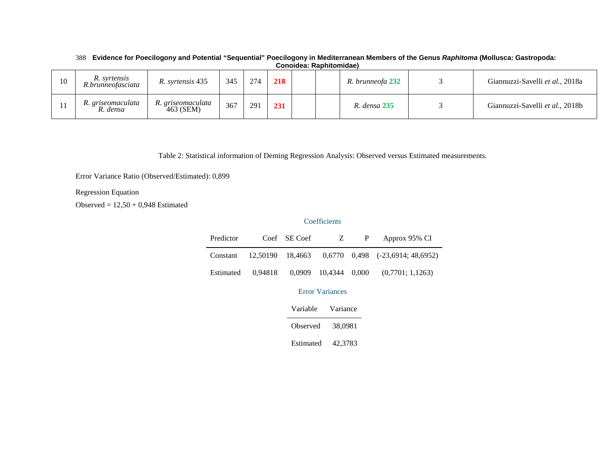|    | ------------                      |                                |     |     |     |  |  |                  |  |                                 |
|----|-----------------------------------|--------------------------------|-----|-----|-----|--|--|------------------|--|---------------------------------|
| 10 | R. syrtensis<br>R.brunneofasciata | R. syrtensis 435               | 345 | 274 | 218 |  |  | R. brunneofa 232 |  | Giannuzzi-Savelli et al., 2018a |
|    | R. griseomaculata<br>R. densa     | R. griseomaculata<br>463 (SEM) | 367 | 291 | 231 |  |  | R. densa 235     |  | Giannuzzi-Savelli et al., 2018b |

Table 2: Statistical information of Deming Regression Analysis: Observed versus Estimated measurements.

Error Variance Ratio (Observed/Estimated): 0,899

# Regression Equation

Observed =  $12,50 + 0,948$  Estimated

# **Coefficients**

| Predictor |         | Coef SE Coef | Z                    | P | Approx 95% CI                                               |
|-----------|---------|--------------|----------------------|---|-------------------------------------------------------------|
| Constant  |         |              |                      |   | $12,50190$ $18,4663$ $0,6770$ $0,498$ $(-23,6914; 48,6952)$ |
| Estimated | 0.94818 |              | 0,0909 10,4344 0,000 |   | (0,7701; 1,1263)                                            |

# Error Variances

| Variable  | Variance |
|-----------|----------|
| Observed  | 38,0981  |
| Estimated | 42,3783  |